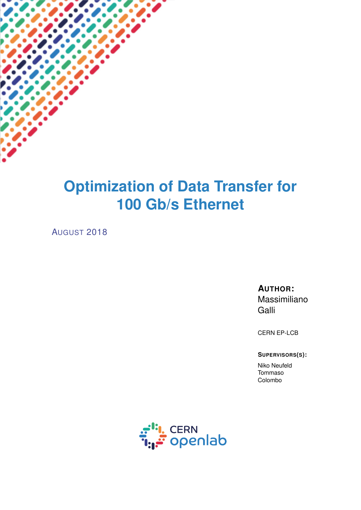# **Optimization of Data Transfer for 100 Gb/s Ethernet**

AUGUST 2018

#### **AUTHOR:**

Massimiliano Galli

CERN EP-LCB

**SUPERVISORS(S):**

Niko Neufeld Tommaso Colombo

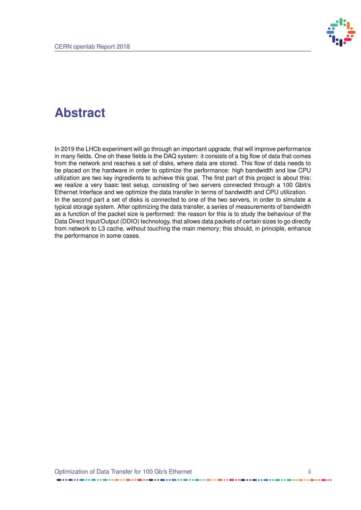

### **Abstract**

In 2019 the LHCb experiment will go through an important upgrade, that will improve performance in many fields. One oh these fields is the DAQ system: it consists of a big flow of data that comes from the network and reaches a set of disks, where data are stored. This flow of data needs to be placed on the hardware in order to optimize the performance: high bandwidth and low CPU utilization are two key ingredients to achieve this goal. The first part of this project is about this: we realize a very basic test setup, consisting of two servers connected through a 100 Gbit/s Ethernet Interface and we optimize the data transfer in terms of bandwidth and CPU utilization. In the second part a set of disks is connected to one of the two servers, in order to simulate a typical storage system. After optimizing the data transfer, a series of measurements of bandwidth as a function of the packet size is performed: the reason for this is to study the behaviour of the Data Direct Input/Output (DDIO) technology, that allows data packets of certain sizes to go directly from network to L3 cache, without touching the main memory; this should, in principle, enhance the performance in some cases.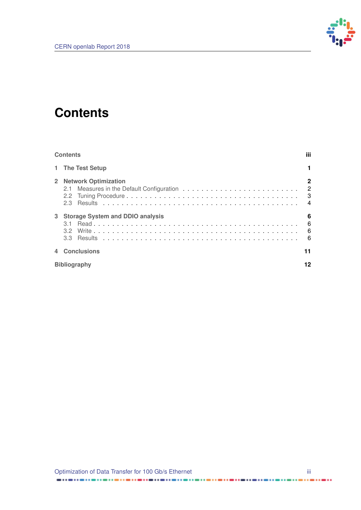

## <span id="page-2-0"></span>**Contents**

| <b>Contents</b> |                                                               | iii.                                                                               |
|-----------------|---------------------------------------------------------------|------------------------------------------------------------------------------------|
|                 | 1 The Test Setup                                              |                                                                                    |
| $2^{\circ}$     | <b>Network Optimization</b>                                   | $\mathbf{2}$<br>$\overline{2}$<br>$\overline{\mathbf{3}}$<br>$\boldsymbol{\Delta}$ |
|                 | 3 Storage System and DDIO analysis<br>3 1<br>3.3 <sup>°</sup> | 6<br>6<br>6<br>- 6                                                                 |
|                 | 4 Conclusions                                                 | 11                                                                                 |
|                 | <b>Bibliography</b>                                           |                                                                                    |

......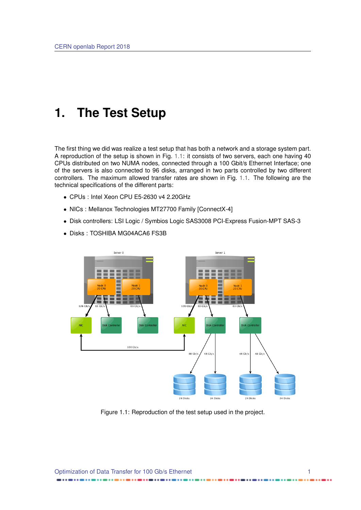### <span id="page-3-0"></span>**1. The Test Setup**

The first thing we did was realize a test setup that has both a network and a storage system part. A reproduction of the setup is shown in Fig. [1.1:](#page-3-1) it consists of two servers, each one having 40 CPUs distributed on two NUMA nodes, connected through a 100 Gbit/s Ethernet Interface; one of the servers is also connected to 96 disks, arranged in two parts controlled by two different controllers. The maximum allowed transfer rates are shown in Fig. [1.1.](#page-3-1) The following are the technical specifications of the different parts:

- CPUs : Intel Xeon CPU E5-2630 v4 2.20GHz
- NICs : Mellanox Technologies MT27700 Family [ConnectX-4]
- Disk controllers: LSI Logic / Symbios Logic SAS3008 PCI-Express Fusion-MPT SAS-3

<span id="page-3-1"></span>

• Disks : TOSHIBA MG04ACA6 FS3B

Figure 1.1: Reproduction of the test setup used in the project.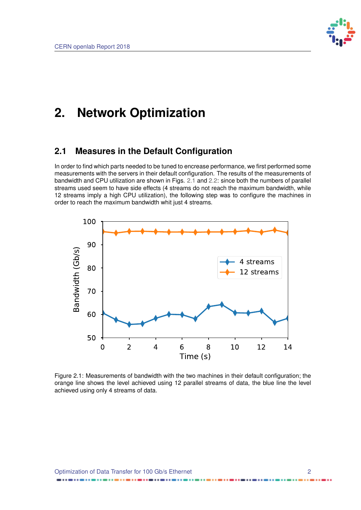

### <span id="page-4-0"></span>**2. Network Optimization**

#### <span id="page-4-1"></span>**2.1 Measures in the Default Configuration**

In order to find which parts needed to be tuned to encrease performance, we first performed some measurements with the servers in their default configuration. The results of the measurements of bandwidth and CPU utilization are shown in Figs. [2.1](#page-4-2) and [2.2:](#page-5-2) since both the numbers of parallel streams used seem to have side effects (4 streams do not reach the maximum bandwidth, while 12 streams imply a high CPU utilization), the following step was to configure the machines in order to reach the maximum bandwidth whit just 4 streams.

<span id="page-4-2"></span>

Figure 2.1: Measurements of bandwidth with the two machines in their default configuration; the orange line shows the level achieved using 12 parallel streams of data, the blue line the level achieved using only 4 streams of data.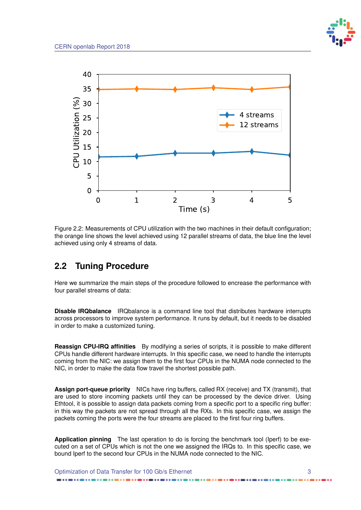

<span id="page-5-2"></span>

Figure 2.2: Measurements of CPU utilization with the two machines in their default configuration; the orange line shows the level achieved using 12 parallel streams of data, the blue line the level achieved using only 4 streams of data.

#### <span id="page-5-0"></span>**2.2 Tuning Procedure**

Here we summarize the main steps of the procedure followed to encrease the performance with four parallel streams of data:

**Disable IRQbalance** IRQbalance is a command line tool that distributes hardware interrupts across processors to improve system performance. It runs by default, but it needs to be disabled in order to make a customized tuning.

**Reassign CPU-IRQ affinities** By modifying a series of scripts, it is possible to make different CPUs handle different hardware interrupts. In this specific case, we need to handle the interrupts coming from the NIC: we assign them to the first four CPUs in the NUMA node connected to the NIC, in order to make the data flow travel the shortest possible path.

**Assign port-queue priority** NICs have ring buffers, called RX (receive) and TX (transmit), that are used to store incoming packets until they can be processed by the device driver. Using Ethtool, it is possible to assign data packets coming from a specific port to a specific ring buffer: in this way the packets are not spread through all the RXs. In this specific case, we assign the packets coming the ports were the four streams are placed to the first four ring buffers.

**Application pinning** The last operation to do is forcing the benchmark tool (Iperf) to be executed on a set of CPUs which is not the one we assigned the IRQs to. In this specific case, we bound Iperf to the second four CPUs in the NUMA node connected to the NIC.

<span id="page-5-1"></span>Optimization of Data Transfer for 100 Gb/s Ethernet 3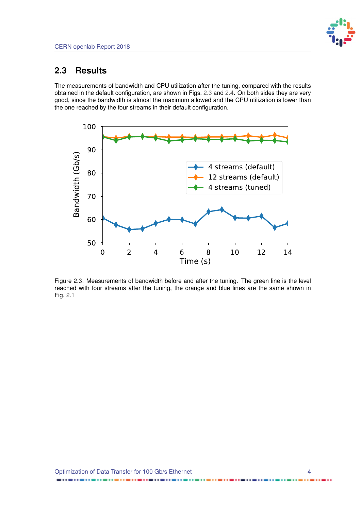#### **2.3 Results**

The measurements of bandwidth and CPU utilization after the tuning, compared with the results obtained in the default configuration, are shown in Figs. [2.3](#page-6-0) and [2.4.](#page-7-0) On both sides they are very good, since the bandwidth is almost the maximum allowed and the CPU utilization is lower than the one reached by the four streams in their default configuration.

<span id="page-6-0"></span>

Figure 2.3: Measurements of bandwidth before and after the tuning. The green line is the level reached with four streams after the tuning, the orange and blue lines are the same shown in Fig. [2.1](#page-4-2)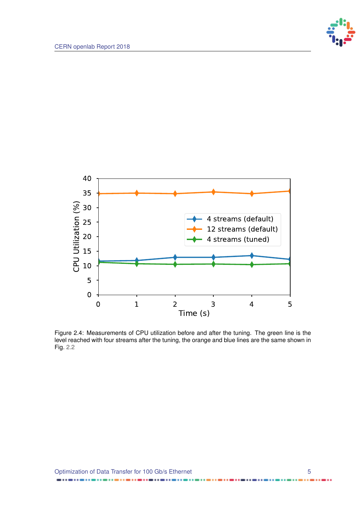

<span id="page-7-0"></span>

Figure 2.4: Measurements of CPU utilization before and after the tuning. The green line is the level reached with four streams after the tuning, the orange and blue lines are the same shown in Fig. [2.2](#page-5-2)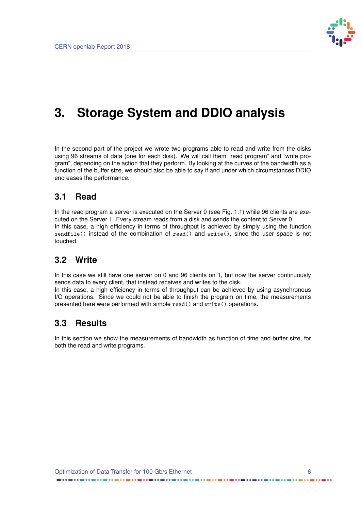

## <span id="page-8-0"></span>**3. Storage System and DDIO analysis**

In the second part of the project we wrote two programs able to read and write from the disks using 96 streams of data (one for each disk). We will call them "read program" and "write program", depending on the action that they perform. By looking at the curves of the bandwidth as a function of the buffer size, we should also be able to say if and under which circumstances DDIO encreases the performance.

#### <span id="page-8-1"></span>**3.1 Read**

In the read program a server is executed on the Server 0 (see Fig. [1.1\)](#page-3-1) while 96 clients are executed on the Server 1. Every stream reads from a disk and sends the content to Server 0. In this case, a high efficiency in terms of throughput is achieved by simply using the function sendfile() instead of the combination of read() and write(), since the user space is not touched.

#### <span id="page-8-2"></span>**3.2 Write**

In this case we still have one server on 0 and 96 clients on 1, but now the server continuously sends data to every client, that instead receives and writes to the disk.

In this case, a high efficiency in terms of throughput can be achieved by using asynchronous I/O operations. Since we could not be able to finish the program on time, the measurements presented here were performed with simple read() and write() operations.

#### <span id="page-8-3"></span>**3.3 Results**

In this section we show the measurements of bandwidth as function of time and buffer size, for both the read and write programs.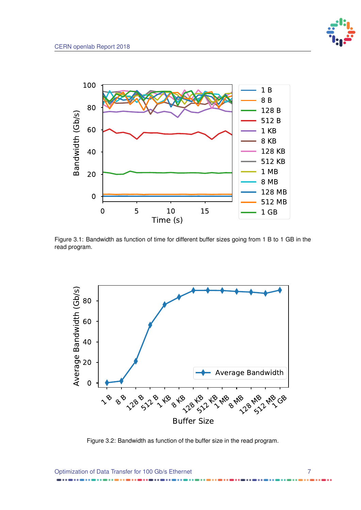



Figure 3.1: Bandwidth as function of time for different buffer sizes going from 1 B to 1 GB in the read program.



Figure 3.2: Bandwidth as function of the buffer size in the read program.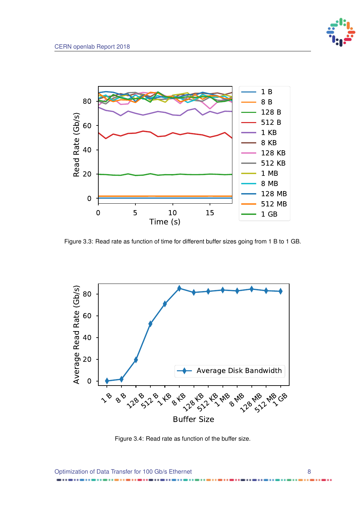



Figure 3.3: Read rate as function of time for different buffer sizes going from 1 B to 1 GB.



Figure 3.4: Read rate as function of the buffer size.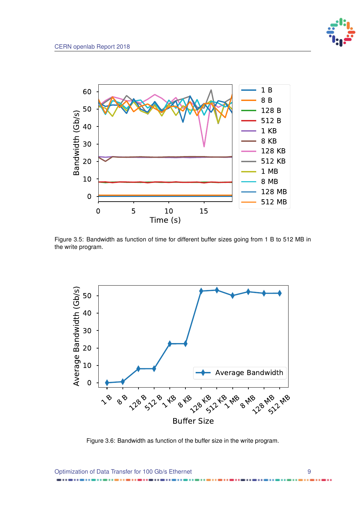



Figure 3.5: Bandwidth as function of time for different buffer sizes going from 1 B to 512 MB in the write program.



Figure 3.6: Bandwidth as function of the buffer size in the write program.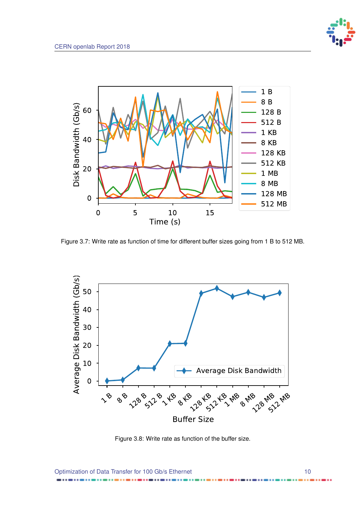



Figure 3.7: Write rate as function of time for different buffer sizes going from 1 B to 512 MB.



Figure 3.8: Write rate as function of the buffer size.

Optimization of Data Transfer for 100 Gb/s Ethernet 100 10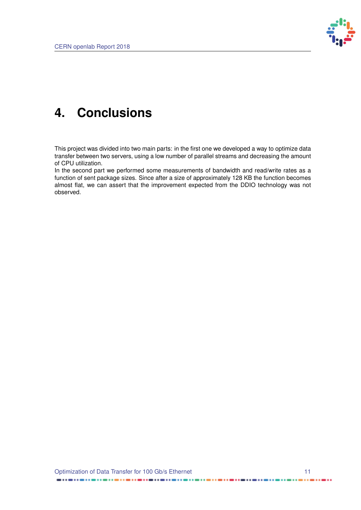

## <span id="page-13-0"></span>**4. Conclusions**

This project was divided into two main parts: in the first one we developed a way to optimize data transfer between two servers, using a low number of parallel streams and decreasing the amount of CPU utilization.

In the second part we performed some measurements of bandwidth and read/write rates as a function of sent package sizes. Since after a size of approximately 128 KB the function becomes almost flat, we can assert that the improvement expected from the DDIO technology was not observed.

.....